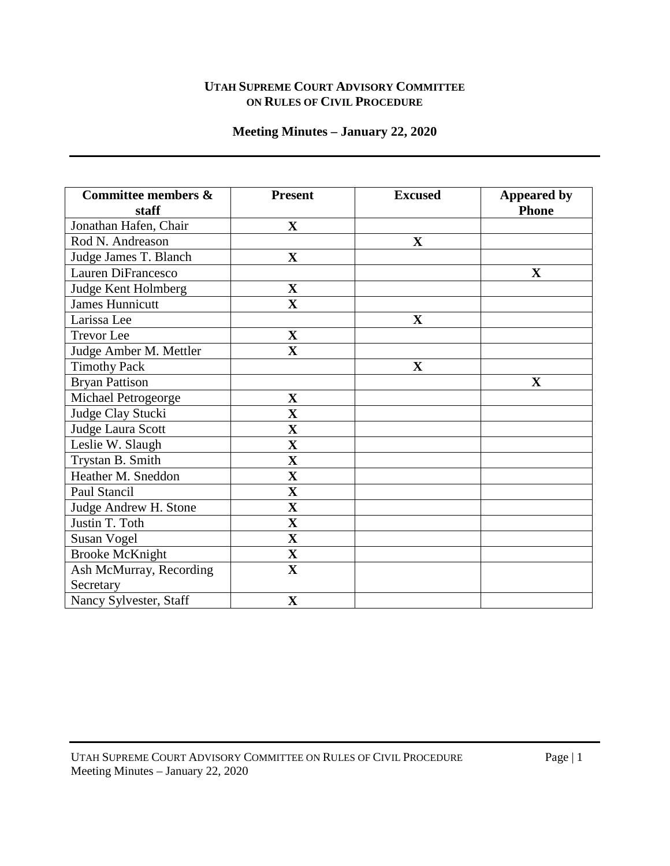# **UTAH SUPREME COURT ADVISORY COMMITTEE ON RULES OF CIVIL PROCEDURE**

## **Meeting Minutes – January 22, 2020**

| Committee members &<br>staff                  | <b>Present</b>          | <b>Excused</b> | <b>Appeared by</b><br><b>Phone</b> |
|-----------------------------------------------|-------------------------|----------------|------------------------------------|
| Jonathan Hafen, Chair                         | $\mathbf X$             |                |                                    |
| Rod N. Andreason                              |                         | $\mathbf X$    |                                    |
| Judge James T. Blanch                         | $\mathbf X$             |                |                                    |
| Lauren DiFrancesco                            |                         |                | $\mathbf X$                        |
|                                               | $\mathbf X$             |                |                                    |
| Judge Kent Holmberg<br><b>James Hunnicutt</b> | $\mathbf X$             |                |                                    |
|                                               |                         |                |                                    |
| Larissa Lee                                   |                         | $\mathbf X$    |                                    |
| <b>Trevor</b> Lee                             | $\mathbf X$             |                |                                    |
| Judge Amber M. Mettler                        | $\mathbf X$             |                |                                    |
| <b>Timothy Pack</b>                           |                         | $\mathbf X$    |                                    |
| <b>Bryan Pattison</b>                         |                         |                | $\mathbf{X}$                       |
| Michael Petrogeorge                           | $\mathbf X$             |                |                                    |
| Judge Clay Stucki                             | $\overline{\mathbf{X}}$ |                |                                    |
| Judge Laura Scott                             | $\overline{\mathbf{X}}$ |                |                                    |
| Leslie W. Slaugh                              | $\mathbf X$             |                |                                    |
| Trystan B. Smith                              | $\mathbf X$             |                |                                    |
| Heather M. Sneddon                            | $\mathbf X$             |                |                                    |
| Paul Stancil                                  | $\mathbf X$             |                |                                    |
| Judge Andrew H. Stone                         | $\mathbf X$             |                |                                    |
| Justin T. Toth                                | $\mathbf X$             |                |                                    |
| <b>Susan Vogel</b>                            | $\mathbf X$             |                |                                    |
| <b>Brooke McKnight</b>                        | $\mathbf X$             |                |                                    |
| Ash McMurray, Recording                       | $\mathbf X$             |                |                                    |
| Secretary                                     |                         |                |                                    |
| Nancy Sylvester, Staff                        | $\mathbf X$             |                |                                    |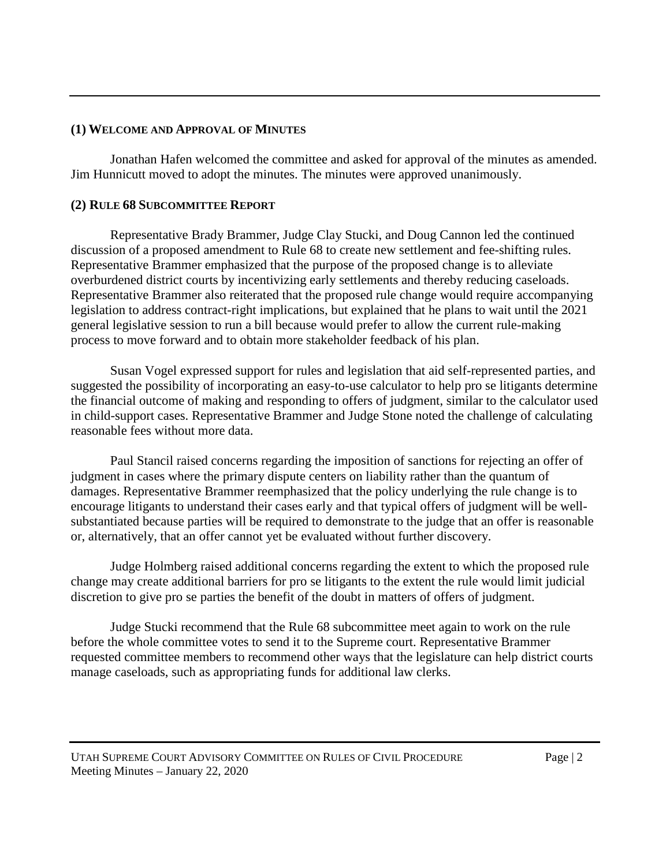# **(1) WELCOME AND APPROVAL OF MINUTES**

Jonathan Hafen welcomed the committee and asked for approval of the minutes as amended. Jim Hunnicutt moved to adopt the minutes. The minutes were approved unanimously.

# **(2) RULE 68 SUBCOMMITTEE REPORT**

Representative Brady Brammer, Judge Clay Stucki, and Doug Cannon led the continued discussion of a proposed amendment to Rule 68 to create new settlement and fee-shifting rules. Representative Brammer emphasized that the purpose of the proposed change is to alleviate overburdened district courts by incentivizing early settlements and thereby reducing caseloads. Representative Brammer also reiterated that the proposed rule change would require accompanying legislation to address contract-right implications, but explained that he plans to wait until the 2021 general legislative session to run a bill because would prefer to allow the current rule-making process to move forward and to obtain more stakeholder feedback of his plan.

Susan Vogel expressed support for rules and legislation that aid self-represented parties, and suggested the possibility of incorporating an easy-to-use calculator to help pro se litigants determine the financial outcome of making and responding to offers of judgment, similar to the calculator used in child-support cases. Representative Brammer and Judge Stone noted the challenge of calculating reasonable fees without more data.

Paul Stancil raised concerns regarding the imposition of sanctions for rejecting an offer of judgment in cases where the primary dispute centers on liability rather than the quantum of damages. Representative Brammer reemphasized that the policy underlying the rule change is to encourage litigants to understand their cases early and that typical offers of judgment will be wellsubstantiated because parties will be required to demonstrate to the judge that an offer is reasonable or, alternatively, that an offer cannot yet be evaluated without further discovery.

Judge Holmberg raised additional concerns regarding the extent to which the proposed rule change may create additional barriers for pro se litigants to the extent the rule would limit judicial discretion to give pro se parties the benefit of the doubt in matters of offers of judgment.

Judge Stucki recommend that the Rule 68 subcommittee meet again to work on the rule before the whole committee votes to send it to the Supreme court. Representative Brammer requested committee members to recommend other ways that the legislature can help district courts manage caseloads, such as appropriating funds for additional law clerks.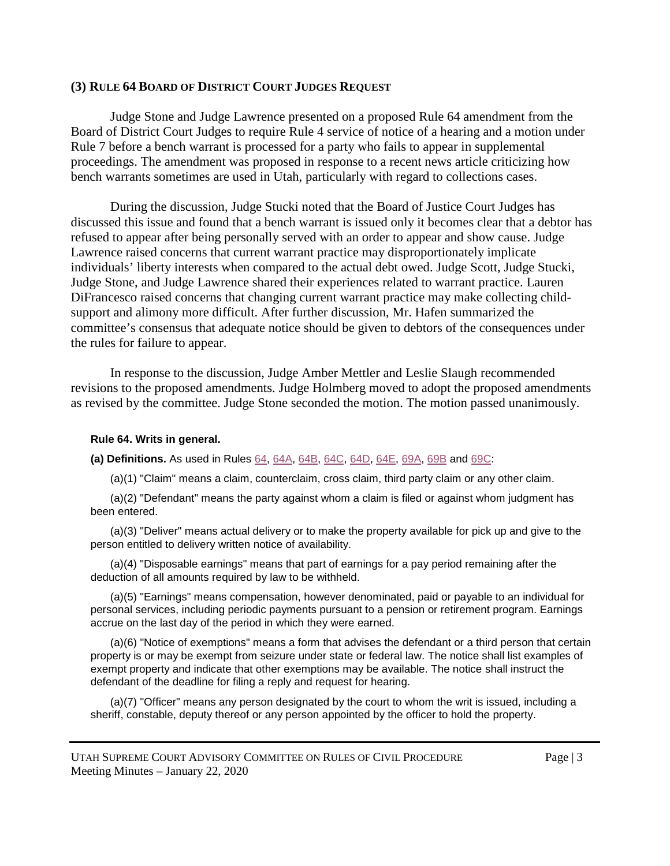## **(3) RULE 64 BOARD OF DISTRICT COURT JUDGES REQUEST**

Judge Stone and Judge Lawrence presented on a proposed Rule 64 amendment from the Board of District Court Judges to require Rule 4 service of notice of a hearing and a motion under Rule 7 before a bench warrant is processed for a party who fails to appear in supplemental proceedings. The amendment was proposed in response to a recent news article criticizing how bench warrants sometimes are used in Utah, particularly with regard to collections cases.

During the discussion, Judge Stucki noted that the Board of Justice Court Judges has discussed this issue and found that a bench warrant is issued only it becomes clear that a debtor has refused to appear after being personally served with an order to appear and show cause. Judge Lawrence raised concerns that current warrant practice may disproportionately implicate individuals' liberty interests when compared to the actual debt owed. Judge Scott, Judge Stucki, Judge Stone, and Judge Lawrence shared their experiences related to warrant practice. Lauren DiFrancesco raised concerns that changing current warrant practice may make collecting childsupport and alimony more difficult. After further discussion, Mr. Hafen summarized the committee's consensus that adequate notice should be given to debtors of the consequences under the rules for failure to appear.

In response to the discussion, Judge Amber Mettler and Leslie Slaugh recommended revisions to the proposed amendments. Judge Holmberg moved to adopt the proposed amendments as revised by the committee. Judge Stone seconded the motion. The motion passed unanimously.

### **Rule 64. Writs in general.**

**(a) Definitions.** As used in Rules [64,](http://www.utcourts.gov/resources/rules/urcp/urcp064.html) [64A,](http://www.utcourts.gov/resources/rules/urcp/urcp064A.html) [64B,](http://www.utcourts.gov/resources/rules/urcp/urcp064B.html) [64C,](http://www.utcourts.gov/resources/rules/urcp/urcp064C.html) [64D,](http://www.utcourts.gov/resources/rules/urcp/urcp064D.html) [64E,](http://www.utcourts.gov/resources/rules/urcp/urcp064E.html) [69A,](http://www.utcourts.gov/resources/rules/urcp/urcp069A.html) [69B](http://www.utcourts.gov/resources/rules/urcp/urcp069B.html) and [69C:](http://www.utcourts.gov/resources/rules/urcp/urcp069C.html)

(a)(1) "Claim" means a claim, counterclaim, cross claim, third party claim or any other claim.

(a)(2) "Defendant" means the party against whom a claim is filed or against whom judgment has been entered.

(a)(3) "Deliver" means actual delivery or to make the property available for pick up and give to the person entitled to delivery written notice of availability.

(a)(4) "Disposable earnings" means that part of earnings for a pay period remaining after the deduction of all amounts required by law to be withheld.

(a)(5) "Earnings" means compensation, however denominated, paid or payable to an individual for personal services, including periodic payments pursuant to a pension or retirement program. Earnings accrue on the last day of the period in which they were earned.

(a)(6) "Notice of exemptions" means a form that advises the defendant or a third person that certain property is or may be exempt from seizure under state or federal law. The notice shall list examples of exempt property and indicate that other exemptions may be available. The notice shall instruct the defendant of the deadline for filing a reply and request for hearing.

(a)(7) "Officer" means any person designated by the court to whom the writ is issued, including a sheriff, constable, deputy thereof or any person appointed by the officer to hold the property.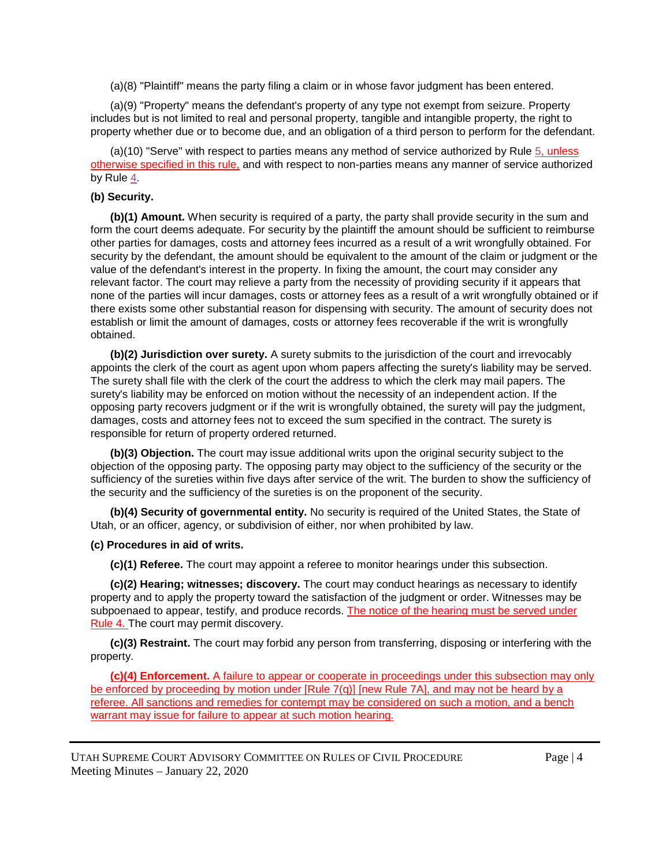(a)(8) "Plaintiff" means the party filing a claim or in whose favor judgment has been entered.

(a)(9) "Property" means the defendant's property of any type not exempt from seizure. Property includes but is not limited to real and personal property, tangible and intangible property, the right to property whether due or to become due, and an obligation of a third person to perform for the defendant.

(a)(10) "Serve" with respect to parties means any method of service authorized by Rule 5, unless otherwise specified in this rule, and with respect to non-parties means any manner of service authorized by Rule [4.](http://www.utcourts.gov/resources/rules/urcp/urcp004.html)

### **(b) Security.**

**(b)(1) Amount.** When security is required of a party, the party shall provide security in the sum and form the court deems adequate. For security by the plaintiff the amount should be sufficient to reimburse other parties for damages, costs and attorney fees incurred as a result of a writ wrongfully obtained. For security by the defendant, the amount should be equivalent to the amount of the claim or judgment or the value of the defendant's interest in the property. In fixing the amount, the court may consider any relevant factor. The court may relieve a party from the necessity of providing security if it appears that none of the parties will incur damages, costs or attorney fees as a result of a writ wrongfully obtained or if there exists some other substantial reason for dispensing with security. The amount of security does not establish or limit the amount of damages, costs or attorney fees recoverable if the writ is wrongfully obtained.

**(b)(2) Jurisdiction over surety.** A surety submits to the jurisdiction of the court and irrevocably appoints the clerk of the court as agent upon whom papers affecting the surety's liability may be served. The surety shall file with the clerk of the court the address to which the clerk may mail papers. The surety's liability may be enforced on motion without the necessity of an independent action. If the opposing party recovers judgment or if the writ is wrongfully obtained, the surety will pay the judgment, damages, costs and attorney fees not to exceed the sum specified in the contract. The surety is responsible for return of property ordered returned.

**(b)(3) Objection.** The court may issue additional writs upon the original security subject to the objection of the opposing party. The opposing party may object to the sufficiency of the security or the sufficiency of the sureties within five days after service of the writ. The burden to show the sufficiency of the security and the sufficiency of the sureties is on the proponent of the security.

**(b)(4) Security of governmental entity.** No security is required of the United States, the State of Utah, or an officer, agency, or subdivision of either, nor when prohibited by law.

#### **(c) Procedures in aid of writs.**

**(c)(1) Referee.** The court may appoint a referee to monitor hearings under this subsection.

**(c)(2) Hearing; witnesses; discovery.** The court may conduct hearings as necessary to identify property and to apply the property toward the satisfaction of the judgment or order. Witnesses may be subpoenaed to appear, testify, and produce records. The notice of the hearing must be served under Rule 4. The court may permit discovery.

**(c)(3) Restraint.** The court may forbid any person from transferring, disposing or interfering with the property.

**(c)(4) Enforcement.** A failure to appear or cooperate in proceedings under this subsection may only be enforced by proceeding by motion under [Rule 7(q)] [new Rule 7A], and may not be heard by a referee. All sanctions and remedies for contempt may be considered on such a motion, and a bench warrant may issue for failure to appear at such motion hearing.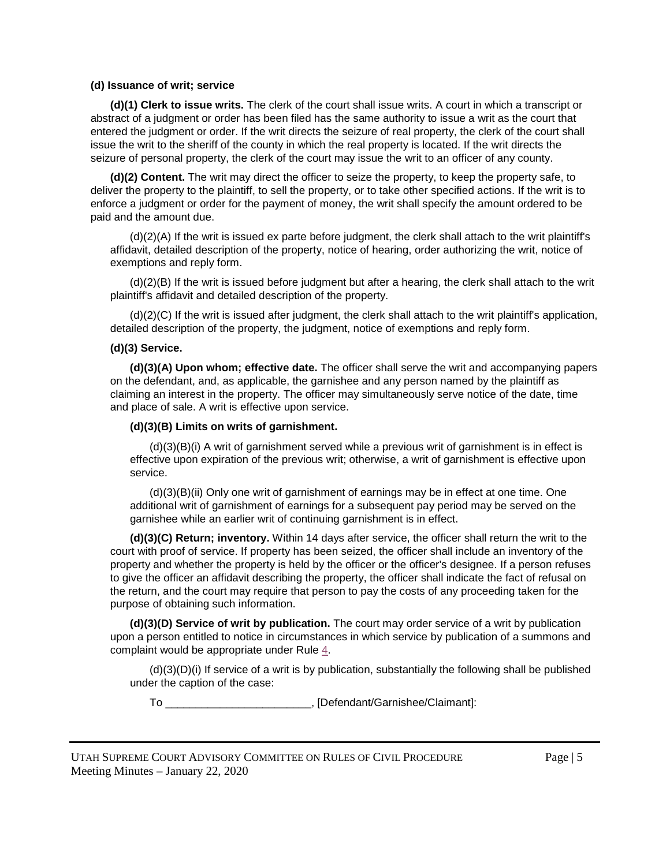#### **(d) Issuance of writ; service**

**(d)(1) Clerk to issue writs.** The clerk of the court shall issue writs. A court in which a transcript or abstract of a judgment or order has been filed has the same authority to issue a writ as the court that entered the judgment or order. If the writ directs the seizure of real property, the clerk of the court shall issue the writ to the sheriff of the county in which the real property is located. If the writ directs the seizure of personal property, the clerk of the court may issue the writ to an officer of any county.

**(d)(2) Content.** The writ may direct the officer to seize the property, to keep the property safe, to deliver the property to the plaintiff, to sell the property, or to take other specified actions. If the writ is to enforce a judgment or order for the payment of money, the writ shall specify the amount ordered to be paid and the amount due.

(d)(2)(A) If the writ is issued ex parte before judgment, the clerk shall attach to the writ plaintiff's affidavit, detailed description of the property, notice of hearing, order authorizing the writ, notice of exemptions and reply form.

(d)(2)(B) If the writ is issued before judgment but after a hearing, the clerk shall attach to the writ plaintiff's affidavit and detailed description of the property.

(d)(2)(C) If the writ is issued after judgment, the clerk shall attach to the writ plaintiff's application, detailed description of the property, the judgment, notice of exemptions and reply form.

#### **(d)(3) Service.**

**(d)(3)(A) Upon whom; effective date.** The officer shall serve the writ and accompanying papers on the defendant, and, as applicable, the garnishee and any person named by the plaintiff as claiming an interest in the property. The officer may simultaneously serve notice of the date, time and place of sale. A writ is effective upon service.

#### **(d)(3)(B) Limits on writs of garnishment.**

(d)(3)(B)(i) A writ of garnishment served while a previous writ of garnishment is in effect is effective upon expiration of the previous writ; otherwise, a writ of garnishment is effective upon service.

(d)(3)(B)(ii) Only one writ of garnishment of earnings may be in effect at one time. One additional writ of garnishment of earnings for a subsequent pay period may be served on the garnishee while an earlier writ of continuing garnishment is in effect.

**(d)(3)(C) Return; inventory.** Within 14 days after service, the officer shall return the writ to the court with proof of service. If property has been seized, the officer shall include an inventory of the property and whether the property is held by the officer or the officer's designee. If a person refuses to give the officer an affidavit describing the property, the officer shall indicate the fact of refusal on the return, and the court may require that person to pay the costs of any proceeding taken for the purpose of obtaining such information.

**(d)(3)(D) Service of writ by publication.** The court may order service of a writ by publication upon a person entitled to notice in circumstances in which service by publication of a summons and complaint would be appropriate under Rule  $4$ .

(d)(3)(D)(i) If service of a writ is by publication, substantially the following shall be published under the caption of the case:

To \_\_\_\_\_\_\_\_\_\_\_\_\_\_\_\_\_\_\_\_\_\_\_\_, [Defendant/Garnishee/Claimant]: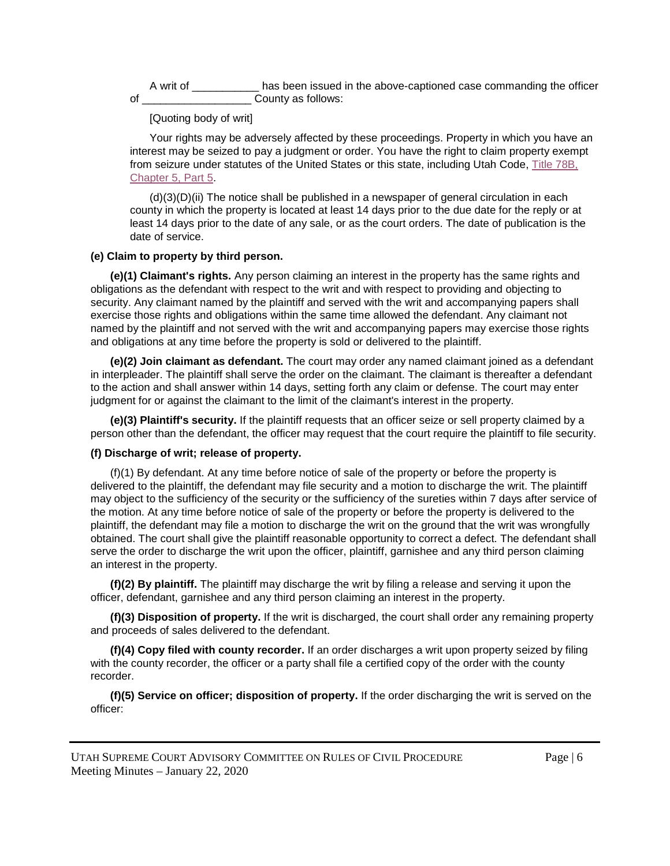A writ of **EXEC is a state in the above-captioned case commanding the officer** of **county as follows:** 

[Quoting body of writ]

Your rights may be adversely affected by these proceedings. Property in which you have an interest may be seized to pay a judgment or order. You have the right to claim property exempt from seizure under statutes of the United States or this state, including Utah Code, [Title 78B,](http://le.utah.gov/xcode/Title78B/Chapter5/78B-5-P5.html?v=C78B-5-P5_1800010118000101)  [Chapter 5, Part 5.](http://le.utah.gov/xcode/Title78B/Chapter5/78B-5-P5.html?v=C78B-5-P5_1800010118000101)

(d)(3)(D)(ii) The notice shall be published in a newspaper of general circulation in each county in which the property is located at least 14 days prior to the due date for the reply or at least 14 days prior to the date of any sale, or as the court orders. The date of publication is the date of service.

### **(e) Claim to property by third person.**

**(e)(1) Claimant's rights.** Any person claiming an interest in the property has the same rights and obligations as the defendant with respect to the writ and with respect to providing and objecting to security. Any claimant named by the plaintiff and served with the writ and accompanying papers shall exercise those rights and obligations within the same time allowed the defendant. Any claimant not named by the plaintiff and not served with the writ and accompanying papers may exercise those rights and obligations at any time before the property is sold or delivered to the plaintiff.

**(e)(2) Join claimant as defendant.** The court may order any named claimant joined as a defendant in interpleader. The plaintiff shall serve the order on the claimant. The claimant is thereafter a defendant to the action and shall answer within 14 days, setting forth any claim or defense. The court may enter judgment for or against the claimant to the limit of the claimant's interest in the property.

**(e)(3) Plaintiff's security.** If the plaintiff requests that an officer seize or sell property claimed by a person other than the defendant, the officer may request that the court require the plaintiff to file security.

#### **(f) Discharge of writ; release of property.**

(f)(1) By defendant. At any time before notice of sale of the property or before the property is delivered to the plaintiff, the defendant may file security and a motion to discharge the writ. The plaintiff may object to the sufficiency of the security or the sufficiency of the sureties within 7 days after service of the motion. At any time before notice of sale of the property or before the property is delivered to the plaintiff, the defendant may file a motion to discharge the writ on the ground that the writ was wrongfully obtained. The court shall give the plaintiff reasonable opportunity to correct a defect. The defendant shall serve the order to discharge the writ upon the officer, plaintiff, garnishee and any third person claiming an interest in the property.

**(f)(2) By plaintiff.** The plaintiff may discharge the writ by filing a release and serving it upon the officer, defendant, garnishee and any third person claiming an interest in the property.

**(f)(3) Disposition of property.** If the writ is discharged, the court shall order any remaining property and proceeds of sales delivered to the defendant.

**(f)(4) Copy filed with county recorder.** If an order discharges a writ upon property seized by filing with the county recorder, the officer or a party shall file a certified copy of the order with the county recorder.

**(f)(5) Service on officer; disposition of property.** If the order discharging the writ is served on the officer: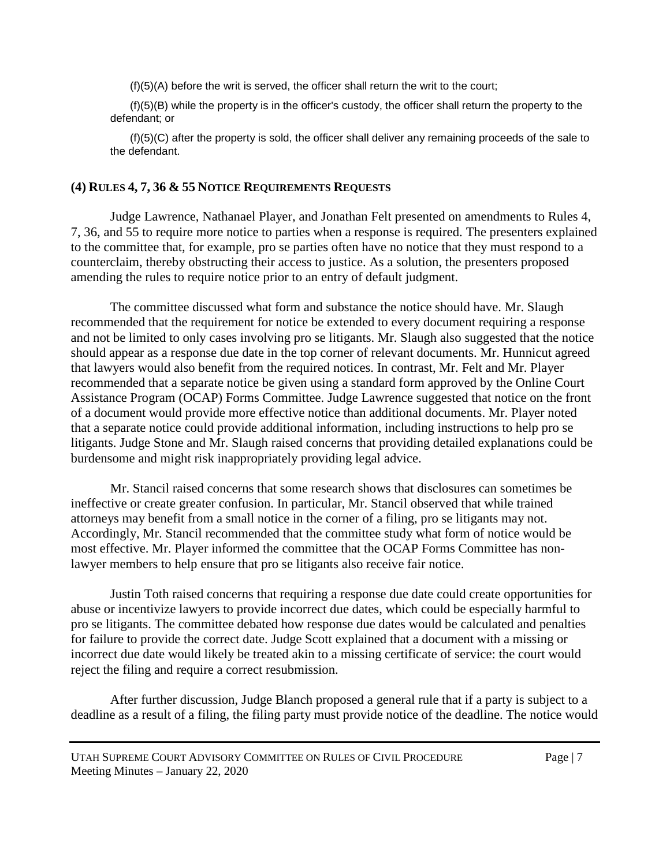(f)(5)(A) before the writ is served, the officer shall return the writ to the court;

(f)(5)(B) while the property is in the officer's custody, the officer shall return the property to the defendant; or

(f)(5)(C) after the property is sold, the officer shall deliver any remaining proceeds of the sale to the defendant.

## **(4) RULES 4, 7, 36 & 55 NOTICE REQUIREMENTS REQUESTS**

Judge Lawrence, Nathanael Player, and Jonathan Felt presented on amendments to Rules 4, 7, 36, and 55 to require more notice to parties when a response is required. The presenters explained to the committee that, for example, pro se parties often have no notice that they must respond to a counterclaim, thereby obstructing their access to justice. As a solution, the presenters proposed amending the rules to require notice prior to an entry of default judgment.

The committee discussed what form and substance the notice should have. Mr. Slaugh recommended that the requirement for notice be extended to every document requiring a response and not be limited to only cases involving pro se litigants. Mr. Slaugh also suggested that the notice should appear as a response due date in the top corner of relevant documents. Mr. Hunnicut agreed that lawyers would also benefit from the required notices. In contrast, Mr. Felt and Mr. Player recommended that a separate notice be given using a standard form approved by the Online Court Assistance Program (OCAP) Forms Committee. Judge Lawrence suggested that notice on the front of a document would provide more effective notice than additional documents. Mr. Player noted that a separate notice could provide additional information, including instructions to help pro se litigants. Judge Stone and Mr. Slaugh raised concerns that providing detailed explanations could be burdensome and might risk inappropriately providing legal advice.

Mr. Stancil raised concerns that some research shows that disclosures can sometimes be ineffective or create greater confusion. In particular, Mr. Stancil observed that while trained attorneys may benefit from a small notice in the corner of a filing, pro se litigants may not. Accordingly, Mr. Stancil recommended that the committee study what form of notice would be most effective. Mr. Player informed the committee that the OCAP Forms Committee has nonlawyer members to help ensure that pro se litigants also receive fair notice.

Justin Toth raised concerns that requiring a response due date could create opportunities for abuse or incentivize lawyers to provide incorrect due dates, which could be especially harmful to pro se litigants. The committee debated how response due dates would be calculated and penalties for failure to provide the correct date. Judge Scott explained that a document with a missing or incorrect due date would likely be treated akin to a missing certificate of service: the court would reject the filing and require a correct resubmission.

After further discussion, Judge Blanch proposed a general rule that if a party is subject to a deadline as a result of a filing, the filing party must provide notice of the deadline. The notice would